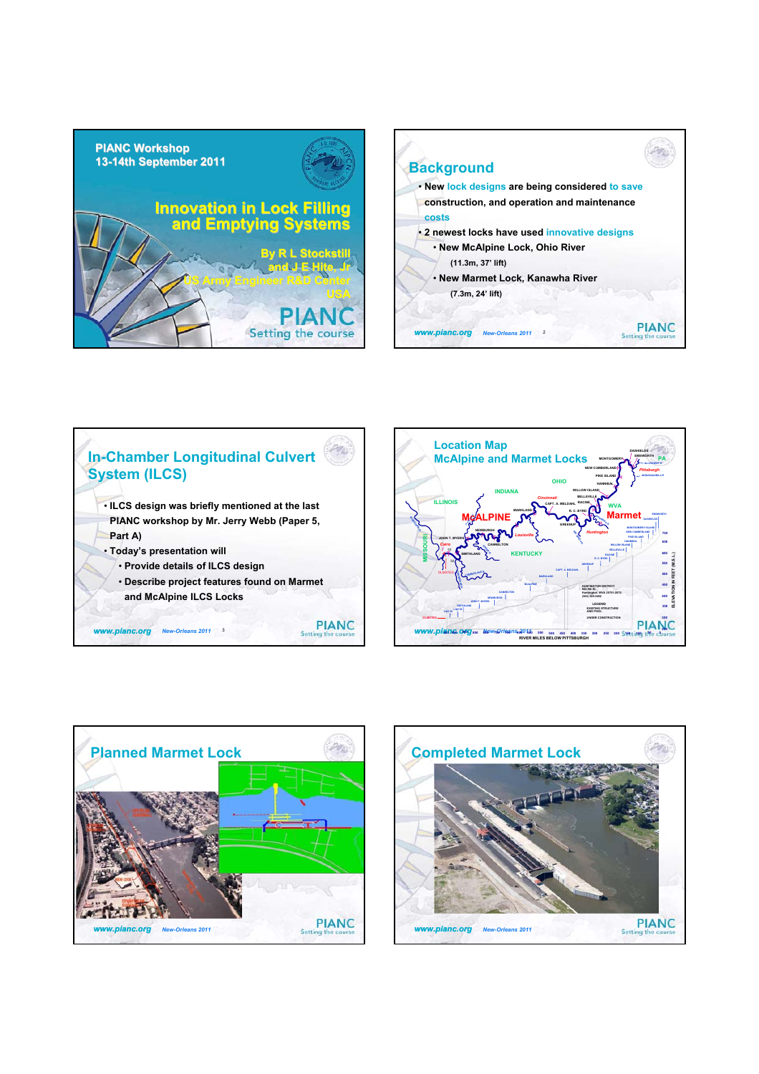









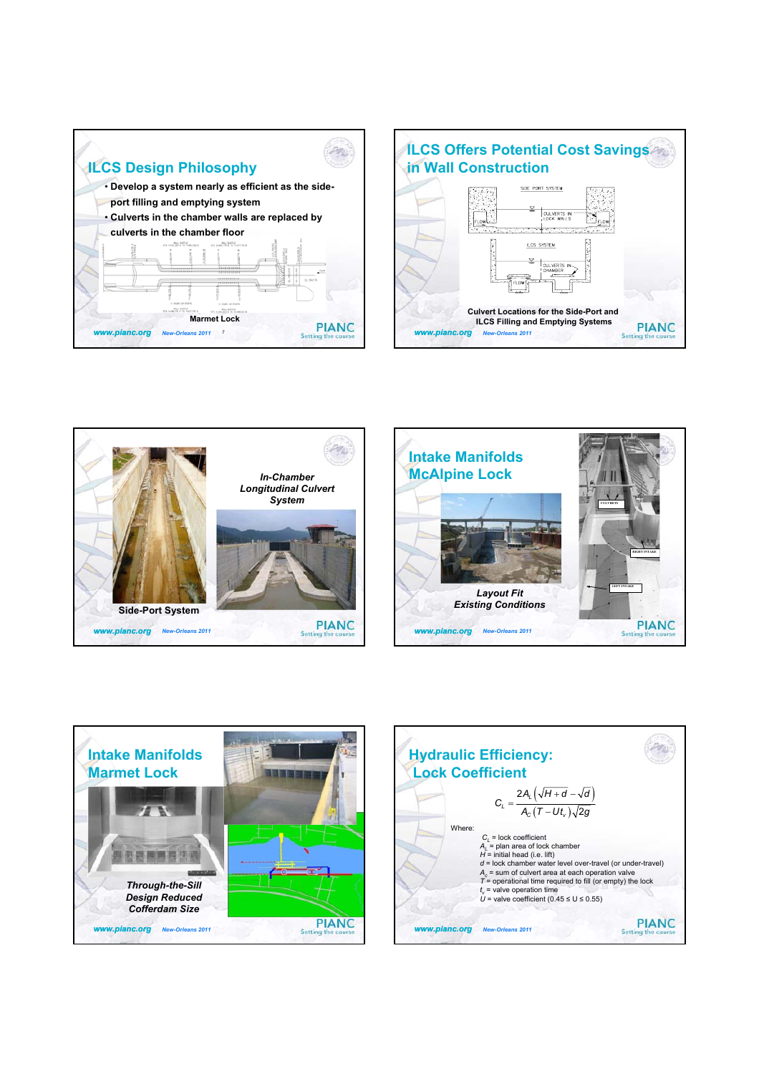









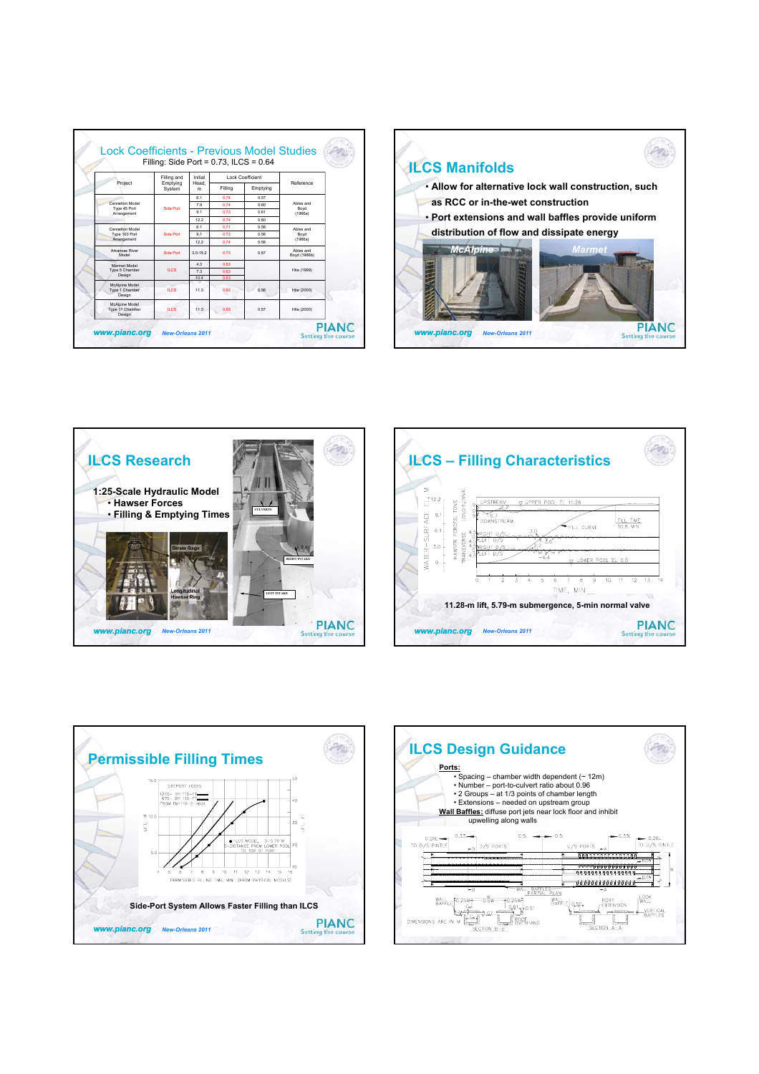|                                                 | Filling: Side Port = $0.73$ , ILCS = $0.64$ |                      |                         |          |                           |
|-------------------------------------------------|---------------------------------------------|----------------------|-------------------------|----------|---------------------------|
| Project                                         | Filling and<br>Emptying<br>System           | Initial<br>Head<br>m | <b>Lock Coefficient</b> |          |                           |
|                                                 |                                             |                      | Filling                 | Emptying | Reference                 |
| Cannelton Model<br>Type 45 Port<br>Arrangement  | Side Port                                   | 61                   | 0.74                    | 0.57     |                           |
|                                                 |                                             | 7.9                  | 0.74                    | 0.60     | Ahles and                 |
|                                                 |                                             | 91                   | 0.73                    | 0.61     | Boyd<br>(1966a)           |
|                                                 |                                             | 122                  | 0.74                    | 0.60     |                           |
| Cannelton Model<br>Type 100 Port<br>Arrangement | Side Port                                   | 6.1                  | 0.71                    | 0.56     | Ahles and                 |
|                                                 |                                             | 91                   | 0.73                    | 0.56     | Boyd                      |
|                                                 |                                             | 122                  | 0.74                    | 0.56     | (1966a)                   |
| Arkansas River<br>Model                         | Side Port                                   | $30 - 152$           | 0.73                    | 0.67     | Ahles and<br>Boyd (1966b) |
| Marmet Model<br>Type 5 Chamber<br>Design        | ILCS.                                       | 43                   | 0.63                    |          |                           |
|                                                 |                                             | 73                   | 0.63                    |          | Hite (1999)               |
|                                                 |                                             | 10.4                 | 0.63                    |          |                           |
| McAlpine Model<br>Type 1 Chamber<br>Design      | <b>ILCS</b>                                 | 113                  | 0.63                    | 0.56     | Hite (2000)               |
| McAlpine Model<br>Type 11 Chamber<br>Design     | <b>ILCS</b>                                 | 11.3                 | 0.65                    | 0.57     | Hite (2000)               |